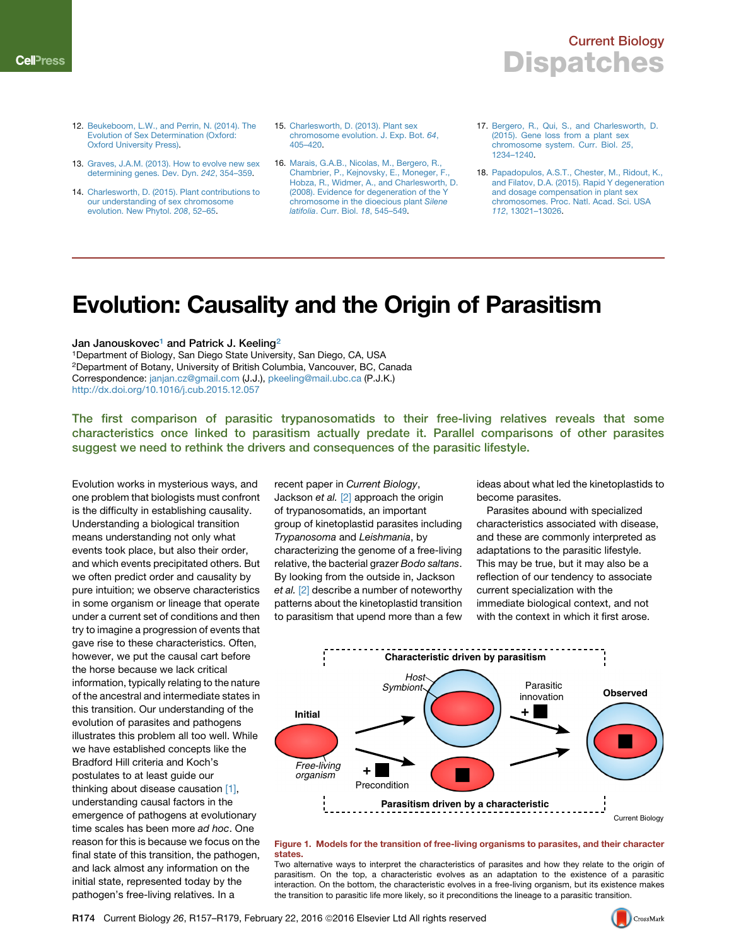- 12. [Beukeboom, L.W., and Perrin, N. \(2014\). The](http://refhub.elsevier.com/S0960-9822(15)01552-3/sref12) [Evolution of Sex Determination \(Oxford:](http://refhub.elsevier.com/S0960-9822(15)01552-3/sref12) [Oxford University Press\).](http://refhub.elsevier.com/S0960-9822(15)01552-3/sref12)
- 13. [Graves, J.A.M. \(2013\). How to evolve new sex](http://refhub.elsevier.com/S0960-9822(15)01552-3/sref13) [determining genes. Dev. Dyn.](http://refhub.elsevier.com/S0960-9822(15)01552-3/sref13) *242*, 354–359.
- 14. [Charlesworth, D. \(2015\). Plant contributions to](http://refhub.elsevier.com/S0960-9822(15)01552-3/sref14) [our understanding of sex chromosome](http://refhub.elsevier.com/S0960-9822(15)01552-3/sref14) [evolution. New Phytol.](http://refhub.elsevier.com/S0960-9822(15)01552-3/sref14) *208*, 52–65.
- 15. [Charlesworth, D. \(2013\). Plant sex](http://refhub.elsevier.com/S0960-9822(15)01552-3/sref15) [chromosome evolution. J. Exp. Bot.](http://refhub.elsevier.com/S0960-9822(15)01552-3/sref15) *64*, [405–420](http://refhub.elsevier.com/S0960-9822(15)01552-3/sref15).
- 16. [Marais, G.A.B., Nicolas, M., Bergero, R.,](http://refhub.elsevier.com/S0960-9822(15)01552-3/sref16) [Chambrier, P., Kejnovsky, E., Moneger, F.,](http://refhub.elsevier.com/S0960-9822(15)01552-3/sref16) [Hobza, R., Widmer, A., and Charlesworth, D.](http://refhub.elsevier.com/S0960-9822(15)01552-3/sref16) [\(2008\). Evidence for degeneration of the Y](http://refhub.elsevier.com/S0960-9822(15)01552-3/sref16) [chromosome in the dioecious plant](http://refhub.elsevier.com/S0960-9822(15)01552-3/sref16) *Silene latifolia*[. Curr. Biol.](http://refhub.elsevier.com/S0960-9822(15)01552-3/sref16) *18*, 545–549.
- 17. [Bergero, R., Qui, S., and Charlesworth, D.](http://refhub.elsevier.com/S0960-9822(15)01552-3/sref17) [\(2015\). Gene loss from a plant sex](http://refhub.elsevier.com/S0960-9822(15)01552-3/sref17) [chromosome system. Curr. Biol.](http://refhub.elsevier.com/S0960-9822(15)01552-3/sref17) *25*, [1234–1240.](http://refhub.elsevier.com/S0960-9822(15)01552-3/sref17)
- 18. [Papadopulos, A.S.T., Chester, M., Ridout, K.,](http://refhub.elsevier.com/S0960-9822(15)01552-3/sref18) [and Filatov, D.A. \(2015\). Rapid Y degeneration](http://refhub.elsevier.com/S0960-9822(15)01552-3/sref18) [and dosage compensation in plant sex](http://refhub.elsevier.com/S0960-9822(15)01552-3/sref18) [chromosomes. Proc. Natl. Acad. Sci. USA](http://refhub.elsevier.com/S0960-9822(15)01552-3/sref18) *112*[, 13021–13026.](http://refhub.elsevier.com/S0960-9822(15)01552-3/sref18)

# Evolution: Causality and the Origin of Parasitism

### Jan Janouskovec<sup>[1](#page-0-0)</sup> and Patrick J. Keeling<sup>[2](#page-0-1)</sup>

<span id="page-0-1"></span><span id="page-0-0"></span>1Department of Biology, San Diego State University, San Diego, CA, USA 2Department of Botany, University of British Columbia, Vancouver, BC, Canada Correspondence: [janjan.cz@gmail.com](mailto:janjan.cz@gmail.com) (J.J.), [pkeeling@mail.ubc.ca](mailto:pkeeling@mail.ubc.ca) (P.J.K.) <http://dx.doi.org/10.1016/j.cub.2015.12.057>

The first comparison of parasitic trypanosomatids to their free-living relatives reveals that some characteristics once linked to parasitism actually predate it. Parallel comparisons of other parasites suggest we need to rethink the drivers and consequences of the parasitic lifestyle.

Evolution works in mysterious ways, and one problem that biologists must confront is the difficulty in establishing causality. Understanding a biological transition means understanding not only what events took place, but also their order, and which events precipitated others. But we often predict order and causality by pure intuition; we observe characteristics in some organism or lineage that operate under a current set of conditions and then try to imagine a progression of events that gave rise to these characteristics. Often, however, we put the causal cart before the horse because we lack critical information, typically relating to the nature of the ancestral and intermediate states in this transition. Our understanding of the evolution of parasites and pathogens illustrates this problem all too well. While we have established concepts like the Bradford Hill criteria and Koch's postulates to at least guide our thinking about disease causation [\[1\],](#page-2-0) understanding causal factors in the emergence of pathogens at evolutionary time scales has been more *ad hoc*. One reason for this is because we focus on the final state of this transition, the pathogen, and lack almost any information on the initial state, represented today by the pathogen's free-living relatives. In a

recent paper in *Current Biology*, Jackson *et al.* [\[2\]](#page-2-1) approach the origin of trypanosomatids, an important group of kinetoplastid parasites including *Trypanosoma* and *Leishmania*, by characterizing the genome of a free-living relative, the bacterial grazer *Bodo saltans*. By looking from the outside in, Jackson *et al.* [\[2\]](#page-2-1) describe a number of noteworthy patterns about the kinetoplastid transition to parasitism that upend more than a few ideas about what led the kinetoplastids to become parasites.

Parasites abound with specialized characteristics associated with disease, and these are commonly interpreted as adaptations to the parasitic lifestyle. This may be true, but it may also be a reflection of our tendency to associate current specialization with the immediate biological context, and not with the context in which it first arose.

<span id="page-0-2"></span>

#### Figure 1. Models for the transition of free-living organisms to parasites, and their character states.

Two alternative ways to interpret the characteristics of parasites and how they relate to the origin of parasitism. On the top, a characteristic evolves as an adaptation to the existence of a parasitic interaction. On the bottom, the characteristic evolves in a free-living organism, but its existence makes the transition to parasitic life more likely, so it preconditions the lineage to a parasitic transition.

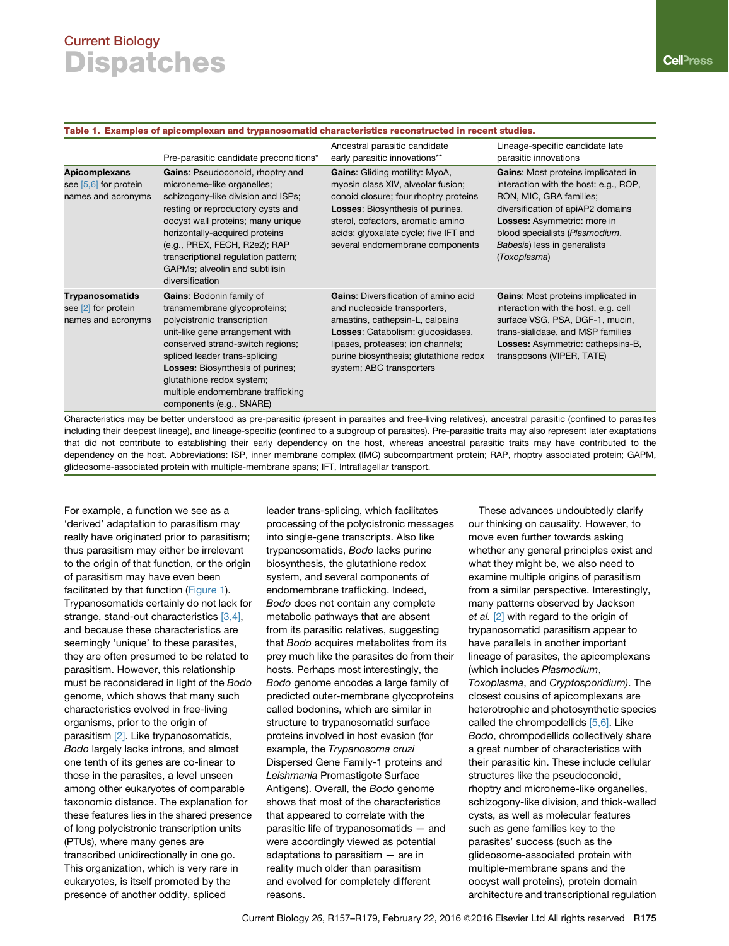|                                                                     | Pre-parasitic candidate preconditions*                                                                                                                                                                                                                                                                                                          | Ancestral parasitic candidate<br>early parasitic innovations**                                                                                                                                                                                                                   | Lineage-specific candidate late<br>parasitic innovations                                                                                                                                                                                                            |
|---------------------------------------------------------------------|-------------------------------------------------------------------------------------------------------------------------------------------------------------------------------------------------------------------------------------------------------------------------------------------------------------------------------------------------|----------------------------------------------------------------------------------------------------------------------------------------------------------------------------------------------------------------------------------------------------------------------------------|---------------------------------------------------------------------------------------------------------------------------------------------------------------------------------------------------------------------------------------------------------------------|
| Apicomplexans<br>see [5,6] for protein<br>names and acronyms        | Gains: Pseudoconoid, rhoptry and<br>microneme-like organelles;<br>schizogony-like division and ISPs;<br>resting or reproductory cysts and<br>oocyst wall proteins; many unique<br>horizontally-acquired proteins<br>(e.g., PREX, FECH, R2e2); RAP<br>transcriptional regulation pattern;<br>GAPMs; alveolin and subtilisin<br>diversification   | <b>Gains:</b> Gliding motility: MyoA,<br>myosin class XIV, alveolar fusion;<br>conoid closure; four rhoptry proteins<br><b>Losses: Biosynthesis of purines,</b><br>sterol, cofactors, aromatic amino<br>acids; glyoxalate cycle; five IFT and<br>several endomembrane components | <b>Gains:</b> Most proteins implicated in<br>interaction with the host: e.g., ROP,<br>RON, MIC, GRA families;<br>diversification of apiAP2 domains<br>Losses: Asymmetric: more in<br>blood specialists (Plasmodium,<br>Babesia) less in generalists<br>(Toxoplasma) |
| <b>Trypanosomatids</b><br>see [2] for protein<br>names and acronyms | <b>Gains: Bodonin family of</b><br>transmembrane glycoproteins;<br>polycistronic transcription<br>unit-like gene arrangement with<br>conserved strand-switch regions;<br>spliced leader trans-splicing<br><b>Losses:</b> Biosynthesis of purines;<br>glutathione redox system;<br>multiple endomembrane trafficking<br>components (e.g., SNARE) | <b>Gains:</b> Diversification of amino acid<br>and nucleoside transporters,<br>amastins, cathepsin-L, calpains<br>Losses: Catabolism: glucosidases,<br>lipases, proteases; ion channels;<br>purine biosynthesis; glutathione redox<br>system; ABC transporters                   | <b>Gains:</b> Most proteins implicated in<br>interaction with the host, e.g. cell<br>surface VSG, PSA, DGF-1, mucin,<br>trans-sialidase, and MSP families<br>Losses: Asymmetric: cathepsins-B,<br>transposons (VIPER, TATE)                                         |

<span id="page-1-0"></span>Table 1. Examples of apicomplexan and trypanosomatid characteristics reconstructed in recent studies.

Characteristics may be better understood as pre-parasitic (present in parasites and free-living relatives), ancestral parasitic (confined to parasites including their deepest lineage), and lineage-specific (confined to a subgroup of parasites). Pre-parasitic traits may also represent later exaptations that did not contribute to establishing their early dependency on the host, whereas ancestral parasitic traits may have contributed to the dependency on the host. Abbreviations: ISP, inner membrane complex (IMC) subcompartment protein; RAP, rhoptry associated protein; GAPM, glideosome-associated protein with multiple-membrane spans; IFT, Intraflagellar transport.

For example, a function we see as a 'derived' adaptation to parasitism may really have originated prior to parasitism; thus parasitism may either be irrelevant to the origin of that function, or the origin of parasitism may have even been facilitated by that function ([Figure 1](#page-0-2)). Trypanosomatids certainly do not lack for strange, stand-out characteristics [\[3,4\]](#page-2-2), and because these characteristics are seemingly 'unique' to these parasites, they are often presumed to be related to parasitism. However, this relationship must be reconsidered in light of the *Bodo* genome, which shows that many such characteristics evolved in free-living organisms, prior to the origin of parasitism [\[2\].](#page-2-1) Like trypanosomatids, *Bodo* largely lacks introns, and almost one tenth of its genes are co-linear to those in the parasites, a level unseen among other eukaryotes of comparable taxonomic distance. The explanation for these features lies in the shared presence of long polycistronic transcription units (PTUs), where many genes are transcribed unidirectionally in one go. This organization, which is very rare in eukaryotes, is itself promoted by the presence of another oddity, spliced

leader trans-splicing, which facilitates processing of the polycistronic messages into single-gene transcripts. Also like trypanosomatids, *Bodo* lacks purine biosynthesis, the glutathione redox system, and several components of endomembrane trafficking. Indeed, *Bodo* does not contain any complete metabolic pathways that are absent from its parasitic relatives, suggesting that *Bodo* acquires metabolites from its prey much like the parasites do from their hosts. Perhaps most interestingly, the *Bodo* genome encodes a large family of predicted outer-membrane glycoproteins called bodonins, which are similar in structure to trypanosomatid surface proteins involved in host evasion (for example, the *Trypanosoma cruzi* Dispersed Gene Family-1 proteins and *Leishmania* Promastigote Surface Antigens). Overall, the *Bodo* genome shows that most of the characteristics that appeared to correlate with the parasitic life of trypanosomatids — and were accordingly viewed as potential adaptations to parasitism — are in reality much older than parasitism and evolved for completely different reasons.

These advances undoubtedly clarify our thinking on causality. However, to move even further towards asking whether any general principles exist and what they might be, we also need to examine multiple origins of parasitism from a similar perspective. Interestingly, many patterns observed by Jackson *et al.* [\[2\]](#page-2-1) with regard to the origin of trypanosomatid parasitism appear to have parallels in another important lineage of parasites, the apicomplexans (which includes *Plasmodium*, *Toxoplasma*, and *Cryptosporidium)*. The closest cousins of apicomplexans are heterotrophic and photosynthetic species called the chrompodellids  $[5,6]$ . Like *Bodo*, chrompodellids collectively share a great number of characteristics with their parasitic kin. These include cellular structures like the pseudoconoid, rhoptry and microneme-like organelles, schizogony-like division, and thick-walled cysts, as well as molecular features such as gene families key to the parasites' success (such as the glideosome-associated protein with multiple-membrane spans and the oocyst wall proteins), protein domain architecture and transcriptional regulation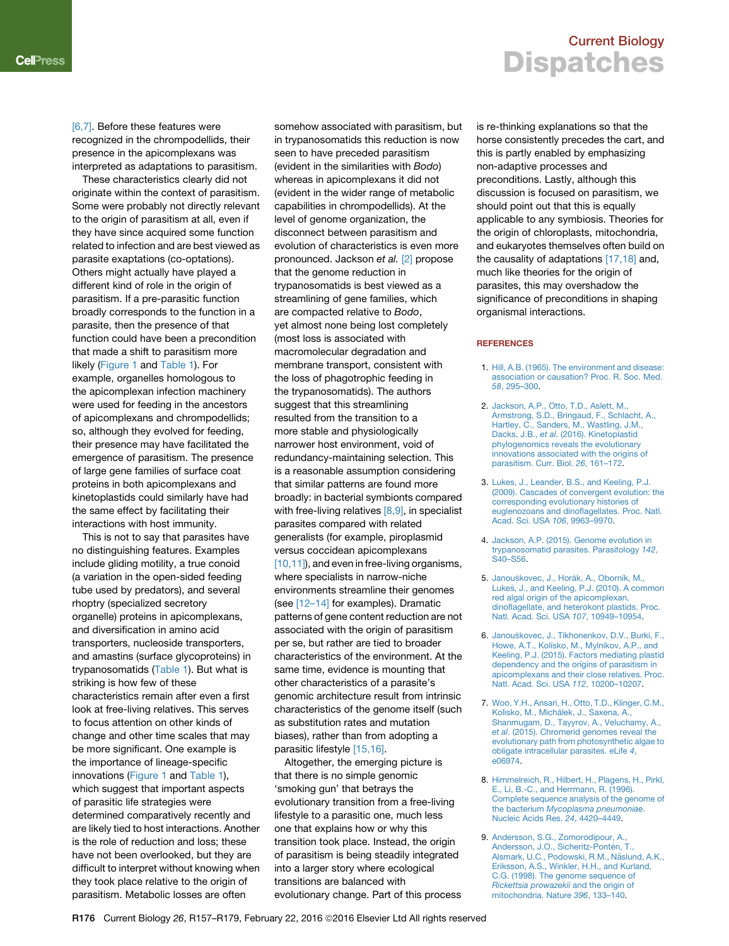[\[6,7\].](#page-2-4) Before these features were recognized in the chrompodellids, their presence in the apicomplexans was interpreted as adaptations to parasitism.

These characteristics clearly did not originate within the context of parasitism. Some were probably not directly relevant to the origin of parasitism at all, even if they have since acquired some function related to infection and are best viewed as parasite exaptations (co-optations). Others might actually have played a different kind of role in the origin of parasitism. If a pre-parasitic function broadly corresponds to the function in a parasite, then the presence of that function could have been a precondition that made a shift to parasitism more likely [\(Figure 1](#page-0-2) and [Table 1\)](#page-1-0). For example, organelles homologous to the apicomplexan infection machinery were used for feeding in the ancestors of apicomplexans and chrompodellids; so, although they evolved for feeding, their presence may have facilitated the emergence of parasitism. The presence of large gene families of surface coat proteins in both apicomplexans and kinetoplastids could similarly have had the same effect by facilitating their interactions with host immunity.

This is not to say that parasites have no distinguishing features. Examples include gliding motility, a true conoid (a variation in the open-sided feeding tube used by predators), and several rhoptry (specialized secretory organelle) proteins in apicomplexans, and diversification in amino acid transporters, nucleoside transporters, and amastins (surface glycoproteins) in trypanosomatids ([Table 1\)](#page-1-0). But what is striking is how few of these characteristics remain after even a first look at free-living relatives. This serves to focus attention on other kinds of change and other time scales that may be more significant. One example is the importance of lineage-specific innovations [\(Figure 1](#page-0-2) and [Table 1](#page-1-0)), which suggest that important aspects of parasitic life strategies were determined comparatively recently and are likely tied to host interactions. Another is the role of reduction and loss; these have not been overlooked, but they are difficult to interpret without knowing when they took place relative to the origin of parasitism. Metabolic losses are often

somehow associated with parasitism, but in trypanosomatids this reduction is now seen to have preceded parasitism (evident in the similarities with *Bodo*) whereas in apicomplexans it did not (evident in the wider range of metabolic capabilities in chrompodellids). At the level of genome organization, the disconnect between parasitism and evolution of characteristics is even more pronounced. Jackson *et al.* [\[2\]](#page-2-1) propose that the genome reduction in trypanosomatids is best viewed as a streamlining of gene families, which are compacted relative to *Bodo*, yet almost none being lost completely (most loss is associated with macromolecular degradation and membrane transport, consistent with the loss of phagotrophic feeding in the trypanosomatids). The authors suggest that this streamlining resulted from the transition to a more stable and physiologically narrower host environment, void of redundancy-maintaining selection. This is a reasonable assumption considering that similar patterns are found more broadly: in bacterial symbionts compared with free-living relatives [\[8,9\],](#page-2-5) in specialist parasites compared with related generalists (for example, piroplasmid versus coccidean apicomplexans [\[10,11\]\)](#page-3-0), and even in free-living organisms, where specialists in narrow-niche environments streamline their genomes (see [\[12–14\]](#page-3-1) for examples). Dramatic patterns of gene content reduction are not associated with the origin of parasitism per se, but rather are tied to broader characteristics of the environment. At the same time, evidence is mounting that other characteristics of a parasite's genomic architecture result from intrinsic characteristics of the genome itself (such as substitution rates and mutation biases), rather than from adopting a parasitic lifestyle [\[15,16\].](#page-3-2)

Altogether, the emerging picture is that there is no simple genomic 'smoking gun' that betrays the evolutionary transition from a free-living lifestyle to a parasitic one, much less one that explains how or why this transition took place. Instead, the origin of parasitism is being steadily integrated into a larger story where ecological transitions are balanced with evolutionary change. Part of this process is re-thinking explanations so that the horse consistently precedes the cart, and this is partly enabled by emphasizing non-adaptive processes and preconditions. Lastly, although this discussion is focused on parasitism, we should point out that this is equally applicable to any symbiosis. Theories for the origin of chloroplasts, mitochondria, and eukaryotes themselves often build on the causality of adaptations [\[17,18\]](#page-3-3) and, much like theories for the origin of parasites, this may overshadow the significance of preconditions in shaping organismal interactions.

### **REFERENCES**

- <span id="page-2-0"></span>1. [Hill, A.B. \(1965\). The environment and disease:](http://refhub.elsevier.com/S0960-9822(15)01588-2/sref1) [association or causation? Proc. R. Soc. Med.](http://refhub.elsevier.com/S0960-9822(15)01588-2/sref1) *58*[, 295–300.](http://refhub.elsevier.com/S0960-9822(15)01588-2/sref1)
- <span id="page-2-1"></span>2. [Jackson, A.P., Otto, T.D., Aslett, M.,](http://refhub.elsevier.com/S0960-9822(15)01588-2/sref2) [Armstrong, S.D., Bringaud, F., Schlacht, A.,](http://refhub.elsevier.com/S0960-9822(15)01588-2/sref2) [Hartley, C., Sanders, M., Wastling, J.M.,](http://refhub.elsevier.com/S0960-9822(15)01588-2/sref2) Dacks, J.B., *et al*[. \(2016\). Kinetoplastid](http://refhub.elsevier.com/S0960-9822(15)01588-2/sref2) [phylogenomics reveals the evolutionary](http://refhub.elsevier.com/S0960-9822(15)01588-2/sref2) [innovations associated with the origins of](http://refhub.elsevier.com/S0960-9822(15)01588-2/sref2) [parasitism. Curr. Biol.](http://refhub.elsevier.com/S0960-9822(15)01588-2/sref2) *26*, 161–172.
- <span id="page-2-2"></span>3. [Lukes, J., Leander, B.S., and Keeling, P.J.](http://refhub.elsevier.com/S0960-9822(15)01588-2/sref3) [\(2009\). Cascades of convergent evolution: the](http://refhub.elsevier.com/S0960-9822(15)01588-2/sref3) [corresponding evolutionary histories of](http://refhub.elsevier.com/S0960-9822(15)01588-2/sref3) [euglenozoans and dinoflagellates. Proc. Natl.](http://refhub.elsevier.com/S0960-9822(15)01588-2/sref3) [Acad. Sci. USA](http://refhub.elsevier.com/S0960-9822(15)01588-2/sref3) *106*, 9963–9970.
- 4. [Jackson, A.P. \(2015\). Genome evolution in](http://refhub.elsevier.com/S0960-9822(15)01588-2/sref4) [trypanosomatid parasites. Parasitology](http://refhub.elsevier.com/S0960-9822(15)01588-2/sref4) *142*, [S40–S56](http://refhub.elsevier.com/S0960-9822(15)01588-2/sref4).
- <span id="page-2-3"></span>5. [Janou](http://refhub.elsevier.com/S0960-9822(15)01588-2/sref5)škovec, J., Horák, A., Oborník, M., [Luke](http://refhub.elsevier.com/S0960-9822(15)01588-2/sref5)s[, J., and Keeling, P.J. \(2010\). A common](http://refhub.elsevier.com/S0960-9822(15)01588-2/sref5) [red algal origin of the apicomplexan,](http://refhub.elsevier.com/S0960-9822(15)01588-2/sref5) [dinoflagellate, and heterokont plastids. Proc.](http://refhub.elsevier.com/S0960-9822(15)01588-2/sref5) [Natl. Acad. Sci. USA](http://refhub.elsevier.com/S0960-9822(15)01588-2/sref5) *107*, 10949–10954.
- <span id="page-2-4"></span>6. [Janou](http://refhub.elsevier.com/S0960-9822(15)01588-2/sref6)s[kovec, J., Tikhonenkov, D.V., Burki, F.,](http://refhub.elsevier.com/S0960-9822(15)01588-2/sref6) Howe, A.T., Kolísko, [M., Mylnikov, A.P., and](http://refhub.elsevier.com/S0960-9822(15)01588-2/sref6) [Keeling, P.J. \(2015\). Factors mediating plastid](http://refhub.elsevier.com/S0960-9822(15)01588-2/sref6) [dependency and the origins of parasitism in](http://refhub.elsevier.com/S0960-9822(15)01588-2/sref6) [apicomplexans and their close relatives. Proc.](http://refhub.elsevier.com/S0960-9822(15)01588-2/sref6) [Natl. Acad. Sci. USA](http://refhub.elsevier.com/S0960-9822(15)01588-2/sref6) *112*, 10200–10207.
- 7. [Woo, Y.H., Ansari, H., Otto, T.D., Klinger, C.M.,](http://refhub.elsevier.com/S0960-9822(15)01588-2/sref7) Kolisko, M., Michá[lek, J., Saxena, A.,](http://refhub.elsevier.com/S0960-9822(15)01588-2/sref7) [Shanmugam, D., Tayyrov, A., Veluchamy, A.,](http://refhub.elsevier.com/S0960-9822(15)01588-2/sref7) *et al*[. \(2015\). Chromerid genomes reveal the](http://refhub.elsevier.com/S0960-9822(15)01588-2/sref7) [evolutionary path from photosynthetic algae to](http://refhub.elsevier.com/S0960-9822(15)01588-2/sref7) [obligate intracellular parasites. eLife](http://refhub.elsevier.com/S0960-9822(15)01588-2/sref7) *4*, [e06974](http://refhub.elsevier.com/S0960-9822(15)01588-2/sref7).
- <span id="page-2-5"></span>8. [Himmelreich, R., Hilbert, H., Plagens, H., Pirkl,](http://refhub.elsevier.com/S0960-9822(15)01588-2/sref8) [E., Li, B.-C., and Herrmann, R. \(1996\).](http://refhub.elsevier.com/S0960-9822(15)01588-2/sref8) [Complete sequence analysis of the genome of](http://refhub.elsevier.com/S0960-9822(15)01588-2/sref8) the bacterium *[Mycoplasma pneumoniae](http://refhub.elsevier.com/S0960-9822(15)01588-2/sref8)*. [Nucleic Acids Res.](http://refhub.elsevier.com/S0960-9822(15)01588-2/sref8) *24*, 4420–4449.
- 9. [Andersson, S.G., Zomorodipour, A.,](http://refhub.elsevier.com/S0960-9822(15)01588-2/sref9) Andersson, J.O., Sicheritz-Pontén, T., Alsmark, U.C., Podowski, R.M., Näslund, A.K., [Eriksson, A.S., Winkler, H.H., and Kurland,](http://refhub.elsevier.com/S0960-9822(15)01588-2/sref9) [C.G. \(1998\). The genome sequence of](http://refhub.elsevier.com/S0960-9822(15)01588-2/sref9) *[Rickettsia prowazekii](http://refhub.elsevier.com/S0960-9822(15)01588-2/sref9)* and the origin of [mitochondria. Nature](http://refhub.elsevier.com/S0960-9822(15)01588-2/sref9) *396*, 133–140.